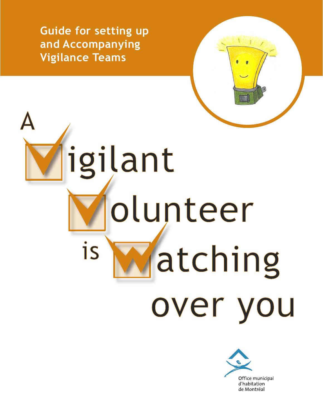**Guide for setting up and Accompanying Vigilance Teams**

# igilant olunteer is atching over you

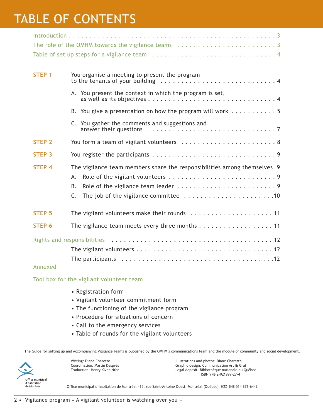# TABLE OF CONTENTS

| STEP <sub>1</sub>    | You organise a meeting to present the program                                                                                                                                           |  |  |  |  |  |  |
|----------------------|-----------------------------------------------------------------------------------------------------------------------------------------------------------------------------------------|--|--|--|--|--|--|
|                      | A. You present the context in which the program is set,                                                                                                                                 |  |  |  |  |  |  |
|                      | B. You give a presentation on how the program will work $\dots \dots \dots$                                                                                                             |  |  |  |  |  |  |
|                      | C. You gather the comments and suggestions and<br>answer their questions $\ldots \ldots \ldots \ldots \ldots \ldots \ldots \ldots \ldots$                                               |  |  |  |  |  |  |
| <b>STEP 2</b>        | You form a team of vigilant volunteers  8                                                                                                                                               |  |  |  |  |  |  |
| <b>STEP 3</b>        |                                                                                                                                                                                         |  |  |  |  |  |  |
| <b>STEP 4</b>        | The vigilance team members share the responsibilities among themselves 9<br>А.<br>В.<br>The job of the vigilance committee $\dots\dots\dots\dots\dots\dots\dots\dots$<br>$\mathsf{C}$ . |  |  |  |  |  |  |
| <b>STEP 5</b>        | The vigilant volunteers make their rounds  11                                                                                                                                           |  |  |  |  |  |  |
| STEP 6               | The vigilance team meets every three months 11                                                                                                                                          |  |  |  |  |  |  |
| A de la partir de la |                                                                                                                                                                                         |  |  |  |  |  |  |

#### Annexed

Tool box for the vigilant volunteer team

- Registration form
- Vigilant volunteer commitment form
- The functioning of the vigilance program
- Procedure for situations of concern
- Call to the emergency services
- Table of rounds for the vigilant volunteers

The Guide for setting up and Accompanying Vigilance Teams is published by the OMHM's communications team and the module of community and social development.



Writing: Diane Charette Coordination: Martin Després Traduction: Henry Kiven Nfon

Illustrations and photos: Diane Charette Graphic design: Communication Art & Graf Legal deposit: Bibliothèque nationale du Québec ISBN 978-2-921999-27-4

Office municipal d'habitation de Montréal 415, rue Saint-Antoine Ouest, Montréal (Québec) H2Z 1H8 514 872-6442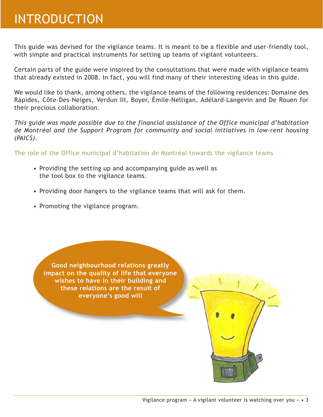## INTRODUCTION

This guide was devised for the vigilance teams. It is meant to be a flexible and user-friendly tool, with simple and practical instruments for setting up teams of vigilant volunteers.

Certain parts of the guide were inspired by the consultations that were made with vigilance teams that already existed in 2008. In fact, you will find many of their interesting ideas in this guide.

We would like to thank, among others, the vigilance teams of the following residences: Domaine des Rapides, Côte-Des-Neiges, Verdun III, Boyer, Émile-Nelligan, Adélard-Langevin and De Rouen for their precious collaboration.

*This guide was made possible due to the financial assistance of the Office municipal d'habitation de Montréal and the Support Program for community and social initiatives in low-rent housing (PAICS).*

The role of the Office municipal d'habitation de Montréal towards the vigilance teams

- Providing the setting up and accompanying guide as well as the tool box to the vigilance teams.
- Providing door hangers to the vigilance teams that will ask for them.
- Promoting the vigilance program.

**Good neighbourhood relations greatly impact on the quality of life that everyone wishes to have in their building and these relations are the result of everyone's good will**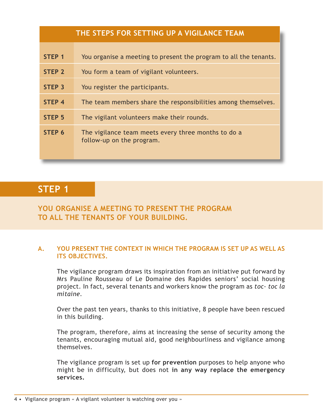| THE STEPS FOR SETTING UP A VIGILANCE TEAM |                                                                                  |  |  |  |  |  |  |
|-------------------------------------------|----------------------------------------------------------------------------------|--|--|--|--|--|--|
| STEP <sub>1</sub>                         | You organise a meeting to present the program to all the tenants.                |  |  |  |  |  |  |
| <b>STEP 2</b>                             | You form a team of vigilant volunteers.                                          |  |  |  |  |  |  |
| <b>STEP 3</b>                             | You register the participants.                                                   |  |  |  |  |  |  |
| <b>STEP 4</b>                             | The team members share the responsibilities among themselves.                    |  |  |  |  |  |  |
| STEP <sub>5</sub>                         | The vigilant volunteers make their rounds.                                       |  |  |  |  |  |  |
| STEP 6                                    | The vigilance team meets every three months to do a<br>follow-up on the program. |  |  |  |  |  |  |

## **STEP 1**

## **YOU ORGANISE A MEETING TO PRESENT THE PROGRAM TO ALL THE TENANTS OF YOUR BUILDING.**

## **A. YOU PRESENT THE CONTEXT IN WHICH THE PROGRAM IS SET UP AS WELL AS ITS OBJECTIVES.**

The vigilance program draws its inspiration from an initiative put forward by Mrs Pauline Rousseau of Le Domaine des Rapides seniors' social housing project. In fact, several tenants and workers know the program as *toc- toc la mitaine.*

Over the past ten years, thanks to this initiative, 8 people have been rescued in this building.

The program, therefore, aims at increasing the sense of security among the tenants, encouraging mutual aid, good neighbourliness and vigilance among themselves.

The vigilance program is set up **for prevention** purposes to help anyone who might be in difficulty, but does not **in any way replace the emergency services.**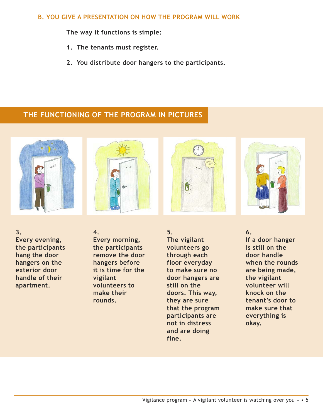### **B. YOU GIVE A PRESENTATION ON HOW THE PROGRAM WILL WORK**

**The way it functions is simple:**

- **1. The tenants must register.**
- **2. You distribute door hangers to the participants.**

## **THE FUNCTIONING OF THE PROGRAM IN PICTURES**





**3. Every evening, the participants hang the door hangers on the exterior door handle of their apartment.**

**4. Every morning, the participants remove the door hangers before it is time for the vigilant volunteers to make their rounds.**

**5. The vigilant volunteers go through each floor everyday to make sure no door hangers are still on the doors. This way, they are sure that the program participants are not in distress and are doing fine.**

**6.**

**If a door hanger is still on the door handle when the rounds are being made, the vigilant volunteer will knock on the tenant's door to make sure that everything is okay.**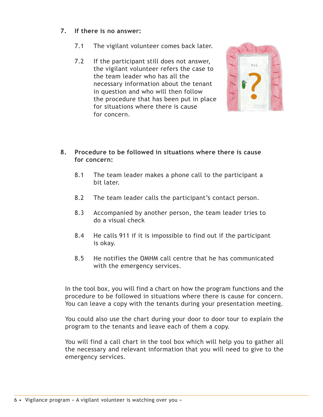## **7. If there is no answer:**

- 7.1 The vigilant volunteer comes back later.
- 7.2 If the participant still does not answer, the vigilant volunteer refers the case to the team leader who has all the necessary information about the tenant in question and who will then follow the procedure that has been put in place for situations where there is cause for concern.



- **8. Procedure to be followed in situations where there is cause for concern:**
	- 8.1 The team leader makes a phone call to the participant a bit later.
	- 8.2 The team leader calls the participant's contact person.
	- 8.3 Accompanied by another person, the team leader tries to do a visual check
	- 8.4 He calls 911 if it is impossible to find out if the participant is okay.
	- 8.5 He notifies the OMHM call centre that he has communicated with the emergency services.

In the tool box, you will find a chart on how the program functions and the procedure to be followed in situations where there is cause for concern. You can leave a copy with the tenants during your presentation meeting.

You could also use the chart during your door to door tour to explain the program to the tenants and leave each of them a copy.

You will find a call chart in the tool box which will help you to gather all the necessary and relevant information that you will need to give to the emergency services.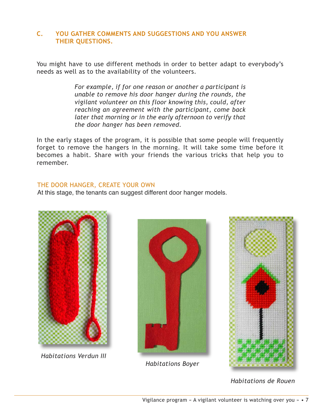## **C. YOU GATHER COMMENTS AND SUGGESTIONS AND YOU ANSWER THEIR QUESTIONS.**

You might have to use different methods in order to better adapt to everybody's needs as well as to the availability of the volunteers.

> *For example, if for one reason or another a participant is unable to remove his door hanger during the rounds, the vigilant volunteer on this floor knowing this, could, after reaching an agreement with the participant, come back later that morning or in the early afternoon to verify that the door hanger has been removed.*

In the early stages of the program, it is possible that some people will frequently forget to remove the hangers in the morning. It will take some time before it becomes a habit. Share with your friends the various tricks that help you to remember.

#### THE DOOR HANGER, CREATE YOUR OWN

At this stage, the tenants can suggest different door hanger models.



*Habitations Verdun III*



*Habitations Boyer*



*Habitations de Rouen*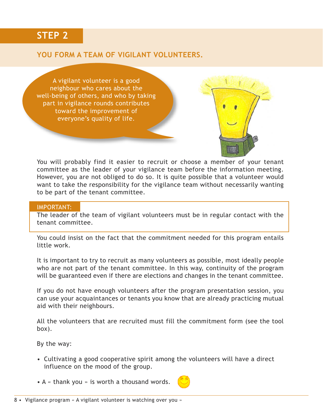## **STEP 2**

## **YOU FORM A TEAM OF VIGILANT VOLUNTEERS.**

A vigilant volunteer is a good neighbour who cares about the well-being of others, and who by taking part in vigilance rounds contributes toward the improvement of everyone's quality of life.



You will probably find it easier to recruit or choose a member of your tenant committee as the leader of your vigilance team before the information meeting. However, you are not obliged to do so. It is quite possible that a volunteer would want to take the responsibility for the vigilance team without necessarily wanting to be part of the tenant committee.

#### IMPORTANT:

The leader of the team of vigilant volunteers must be in regular contact with the tenant committee.

You could insist on the fact that the commitment needed for this program entails little work.

It is important to try to recruit as many volunteers as possible, most ideally people who are not part of the tenant committee. In this way, continuity of the program will be guaranteed even if there are elections and changes in the tenant committee.

If you do not have enough volunteers after the program presentation session, you can use your acquaintances or tenants you know that are already practicing mutual aid with their neighbours.

All the volunteers that are recruited must fill the commitment form (see the tool box).

By the way:

- Cultivating a good cooperative spirit among the volunteers will have a direct influence on the mood of the group.
- A « thank you » is worth a thousand words.

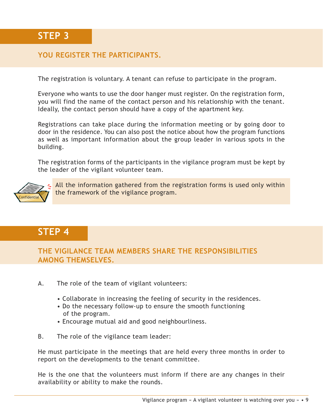## **YOU REGISTER THE PARTICIPANTS.**

The registration is voluntary. A tenant can refuse to participate in the program.

Everyone who wants to use the door hanger must register. On the registration form, you will find the name of the contact person and his relationship with the tenant. Ideally, the contact person should have a copy of the apartment key.

Registrations can take place during the information meeting or by going door to door in the residence. You can also post the notice about how the program functions as well as important information about the group leader in various spots in the building.

The registration forms of the participants in the vigilance program must be kept by the leader of the vigilant volunteer team.



All the information gathered from the registration forms is used only within the framework of the vigilance program.

## **STEP 4**

**THE VIGILANCE TEAM MEMBERS SHARE THE RESPONSIBILITIES AMONG THEMSELVES.**

- A. The role of the team of vigilant volunteers:
	- Collaborate in increasing the feeling of security in the residences.
	- Do the necessary follow-up to ensure the smooth functioning of the program.
	- Encourage mutual aid and good neighbourliness.
- B. The role of the vigilance team leader:

He must participate in the meetings that are held every three months in order to report on the developments to the tenant committee.

He is the one that the volunteers must inform if there are any changes in their availability or ability to make the rounds.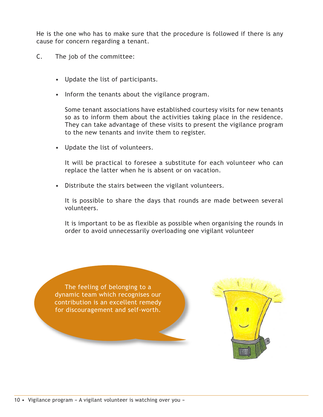He is the one who has to make sure that the procedure is followed if there is any cause for concern regarding a tenant.

- C. The job of the committee:
	- Update the list of participants.
	- Inform the tenants about the vigilance program.

Some tenant associations have established courtesy visits for new tenants so as to inform them about the activities taking place in the residence. They can take advantage of these visits to present the vigilance program to the new tenants and invite them to register.

• Update the list of volunteers.

It will be practical to foresee a substitute for each volunteer who can replace the latter when he is absent or on vacation.

• Distribute the stairs between the vigilant volunteers.

It is possible to share the days that rounds are made between several volunteers.

It is important to be as flexible as possible when organising the rounds in order to avoid unnecessarily overloading one vigilant volunteer

The feeling of belonging to a dynamic team which recognises our contribution is an excellent remedy for discouragement and self-worth.

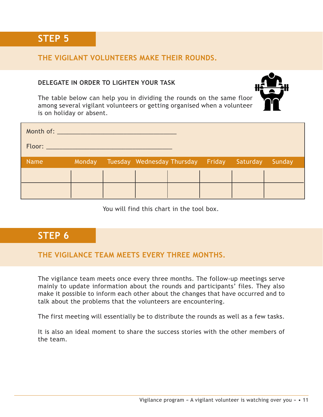**STEP 5**

## **THE VIGILANT VOLUNTEERS MAKE THEIR ROUNDS.**

## **DELEGATE IN ORDER TO LIGHTEN YOUR TASK**



The table below can help you in dividing the rounds on the same floor among several vigilant volunteers or getting organised when a volunteer is on holiday or absent.

| Month of: All Annual American Street |        |                                            |  |        |
|--------------------------------------|--------|--------------------------------------------|--|--------|
| Floor: ____________                  |        |                                            |  |        |
| <b>Name</b>                          | Monday | Tuesday Wednesday Thursday Friday Saturday |  | Sunday |
|                                      |        |                                            |  |        |
|                                      |        |                                            |  |        |

You will find this chart in the tool box.

## **STEP 6**

## **THE VIGILANCE TEAM MEETS EVERY THREE MONTHS.**

The vigilance team meets once every three months. The follow-up meetings serve mainly to update information about the rounds and participants' files. They also make it possible to inform each other about the changes that have occurred and to talk about the problems that the volunteers are encountering.

The first meeting will essentially be to distribute the rounds as well as a few tasks.

It is also an ideal moment to share the success stories with the other members of the team.